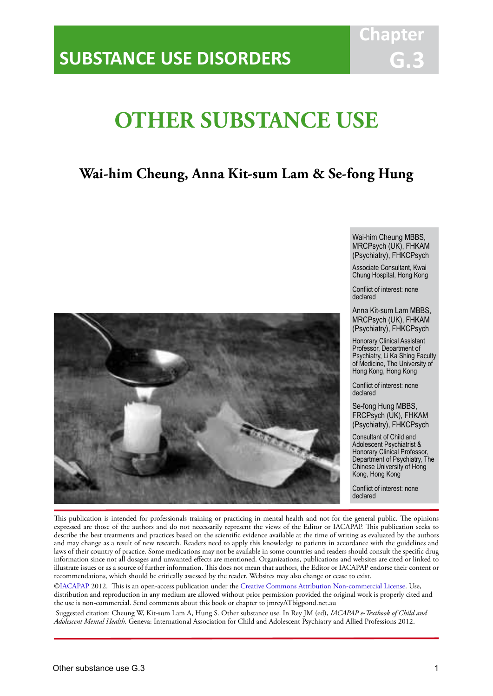## **OTHER SUBSTANCE USE**

IACAPAP Textbook of Child and Adolescent Mental Health

## **Wai-him Cheung, Anna Kit-sum Lam & Se-fong Hung**

Wai-him Cheung MBBS, MRCPsych (UK), FHKAM (Psychiatry), FHKCPsych

**Chapter**

**G.3**

Associate Consultant, Kwai Chung Hospital, Hong Kong

Conflict of interest: none declared

Anna Kit-sum Lam MBBS, MRCPsych (UK), FHKAM (Psychiatry), FHKCPsych

Honorary Clinical Assistant Professor, Department of Psychiatry, Li Ka Shing Faculty of Medicine, The University of Hong Kong, Hong Kong

Conflict of interest: none declared

Se-fong Hung MBBS, FRCPsych (UK), FHKAM (Psychiatry), FHKCPsych

Consultant of Child and Adolescent Psychiatrist & Honorary Clinical Professor, Department of Psychiatry, The Chinese University of Hong Kong, Hong Kong

Conflict of interest: none declared

This publication is intended for professionals training or practicing in mental health and not for the general public. The opinions expressed are those of the authors and do not necessarily represent the views of the Editor or IACAPAP. This publication seeks to describe the best treatments and practices based on the scientific evidence available at the time of writing as evaluated by the authors and may change as a result of new research. Readers need to apply this knowledge to patients in accordance with the guidelines and laws of their country of practice. Some medications may not be available in some countries and readers should consult the specific drug information since not all dosages and unwanted effects are mentioned. Organizations, publications and websites are cited or linked to illustrate issues or as a source of further information. This does not mean that authors, the Editor or IACAPAP endorse their content or recommendations, which should be critically assessed by the reader. Websites may also change or cease to exist.

[©IACAPAP](http://iacapap.org/) 2012. This is an open-access publication under the [Creative Commons Attribution Non-commercial License](http://creativecommons.org/licenses/by-nc/2.0/). Use, distribution and reproduction in any medium are allowed without prior permission provided the original work is properly cited and the use is non-commercial. Send comments about this book or chapter to jmreyATbigpond.net.au

 Suggested citation: Cheung W, Kit-sum Lam A, Hung S. Other substance use. In Rey JM (ed), *IACAPAP e-Textbook of Child and Adolescent Mental Health*. Geneva: International Association for Child and Adolescent Psychiatry and Allied Professions 2012.

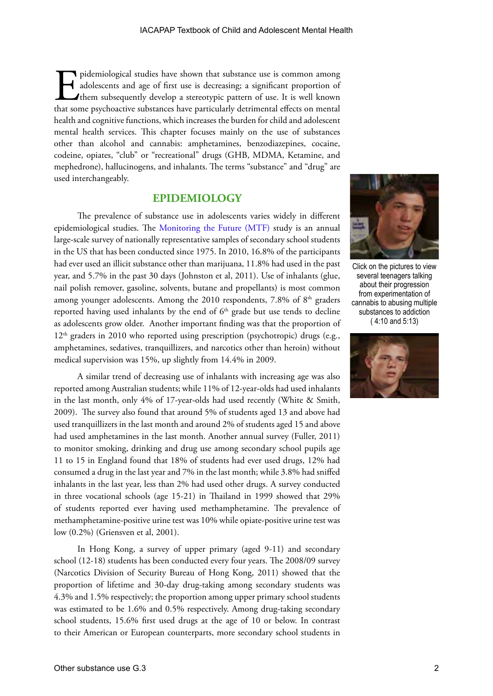pidemiological studies have shown that substance use is common among<br>adolescents and age of first use is decreasing; a significant proportion of<br>them subsequently develop a stereotypic pattern of use. It is well known<br>that adolescents and age of first use is decreasing; a significant proportion of them subsequently develop a stereotypic pattern of use. It is well known that some psychoactive substances have particularly detrimental effects on mental health and cognitive functions, which increases the burden for child and adolescent mental health services. This chapter focuses mainly on the use of substances other than alcohol and cannabis: amphetamines, benzodiazepines, cocaine, codeine, opiates, "club" or "recreational" drugs (GHB, MDMA, Ketamine, and mephedrone), hallucinogens, and inhalants. The terms "substance" and "drug" are used interchangeably.

#### **EPIDEMIOLOGY**

The prevalence of substance use in adolescents varies widely in different epidemiological studies. The [Monitoring the Future \(MTF\)](http://www.monitoringthefuture.org) study is an annual large-scale survey of nationally representative samples of secondary school students in the US that has been conducted since 1975. In 2010, 16.8% of the participants had ever used an illicit substance other than marijuana, 11.8% had used in the past year, and 5.7% in the past 30 days (Johnston et al, 2011). Use of inhalants (glue, nail polish remover, gasoline, solvents, butane and propellants) is most common among younger adolescents. Among the 2010 respondents, 7.8% of 8<sup>th</sup> graders reported having used inhalants by the end of  $6<sup>th</sup>$  grade but use tends to decline as adolescents grow older. Another important finding was that the proportion of 12<sup>th</sup> graders in 2010 who reported using prescription (psychotropic) drugs (e.g., amphetamines, sedatives, tranquillizers, and narcotics other than heroin) without medical supervision was 15%, up slightly from 14.4% in 2009.

A similar trend of decreasing use of inhalants with increasing age was also reported among Australian students; while 11% of 12-year-olds had used inhalants in the last month, only 4% of 17-year-olds had used recently (White & Smith, 2009). The survey also found that around 5% of students aged 13 and above had used tranquillizers in the last month and around 2% of students aged 15 and above had used amphetamines in the last month. Another annual survey (Fuller, 2011) to monitor smoking, drinking and drug use among secondary school pupils age 11 to 15 in England found that 18% of students had ever used drugs, 12% had consumed a drug in the last year and 7% in the last month; while 3.8% had sniffed inhalants in the last year, less than 2% had used other drugs. A survey conducted in three vocational schools (age 15-21) in Thailand in 1999 showed that 29% of students reported ever having used methamphetamine. The prevalence of methamphetamine-positive urine test was 10% while opiate-positive urine test was low (0.2%) (Griensven et al, 2001).

In Hong Kong, a survey of upper primary (aged 9-11) and secondary school (12-18) students has been conducted every four years. The 2008/09 survey (Narcotics Division of Security Bureau of Hong Kong, 2011) showed that the proportion of lifetime and 30-day drug-taking among secondary students was 4.3% and 1.5% respectively; the proportion among upper primary school students was estimated to be 1.6% and 0.5% respectively. Among drug-taking secondary school students, 15.6% first used drugs at the age of 10 or below. In contrast to their American or European counterparts, more secondary school students in



Click on the pictures to view several teenagers talking about their progression from experimentation of cannabis to abusing multiple substances to addiction ( 4:10 and 5:13)

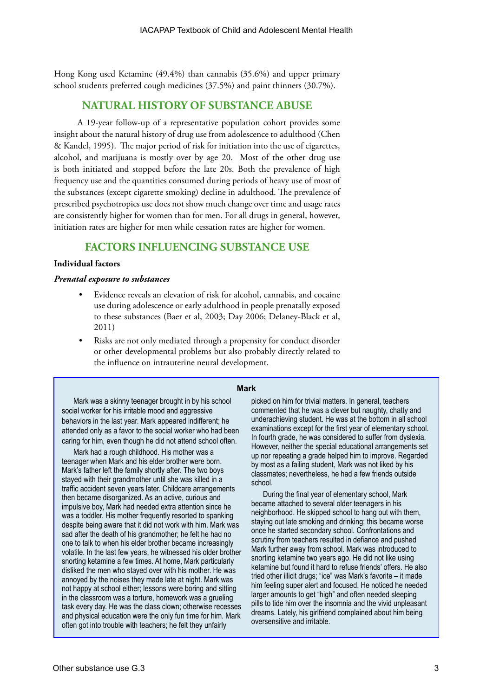Hong Kong used Ketamine (49.4%) than cannabis (35.6%) and upper primary school students preferred cough medicines (37.5%) and paint thinners (30.7%).

### **NATURAL HISTORY OF SUBSTANCE ABUSE**

A 19-year follow-up of a representative population cohort provides some insight about the natural history of drug use from adolescence to adulthood (Chen & Kandel, 1995). The major period of risk for initiation into the use of cigarettes, alcohol, and marijuana is mostly over by age 20. Most of the other drug use is both initiated and stopped before the late 20s. Both the prevalence of high frequency use and the quantities consumed during periods of heavy use of most of the substances (except cigarette smoking) decline in adulthood. The prevalence of prescribed psychotropics use does not show much change over time and usage rates are consistently higher for women than for men. For all drugs in general, however, initiation rates are higher for men while cessation rates are higher for women.

## **FACTORS INFLUENCING SUBSTANCE USE**

#### **Individual factors**

#### *Prenatal exposure to substances*

- Evidence reveals an elevation of risk for alcohol, cannabis, and cocaine use during adolescence or early adulthood in people prenatally exposed to these substances (Baer et al, 2003; Day 2006; Delaney-Black et al, 2011)
- Risks are not only mediated through a propensity for conduct disorder or other developmental problems but also probably directly related to the influence on intrauterine neural development.

#### **Mark**

Mark was a skinny teenager brought in by his school social worker for his irritable mood and aggressive behaviors in the last year. Mark appeared indifferent; he attended only as a favor to the social worker who had been caring for him, even though he did not attend school often.

Mark had a rough childhood. His mother was a teenager when Mark and his elder brother were born. Mark's father left the family shortly after. The two boys stayed with their grandmother until she was killed in a traffic accident seven years later. Childcare arrangements then became disorganized. As an active, curious and impulsive boy, Mark had needed extra attention since he was a toddler. His mother frequently resorted to spanking despite being aware that it did not work with him. Mark was sad after the death of his grandmother; he felt he had no one to talk to when his elder brother became increasingly volatile. In the last few years, he witnessed his older brother snorting ketamine a few times. At home, Mark particularly disliked the men who stayed over with his mother. He was annoyed by the noises they made late at night. Mark was not happy at school either; lessons were boring and sitting in the classroom was a torture, homework was a grueling task every day. He was the class clown; otherwise recesses and physical education were the only fun time for him. Mark often got into trouble with teachers; he felt they unfairly

picked on him for trivial matters. In general, teachers commented that he was a clever but naughty, chatty and underachieving student. He was at the bottom in all school examinations except for the first year of elementary school. In fourth grade, he was considered to suffer from dyslexia. However, neither the special educational arrangements set up nor repeating a grade helped him to improve. Regarded by most as a failing student, Mark was not liked by his classmates; nevertheless, he had a few friends outside school.

During the final year of elementary school, Mark became attached to several older teenagers in his neighborhood. He skipped school to hang out with them, staying out late smoking and drinking; this became worse once he started secondary school. Confrontations and scrutiny from teachers resulted in defiance and pushed Mark further away from school. Mark was introduced to snorting ketamine two years ago. He did not like using ketamine but found it hard to refuse friends' offers. He also tried other illicit drugs; "ice" was Mark's favorite – it made him feeling super alert and focused. He noticed he needed larger amounts to get "high" and often needed sleeping pills to tide him over the insomnia and the vivid unpleasant dreams. Lately, his girlfriend complained about him being oversensitive and irritable.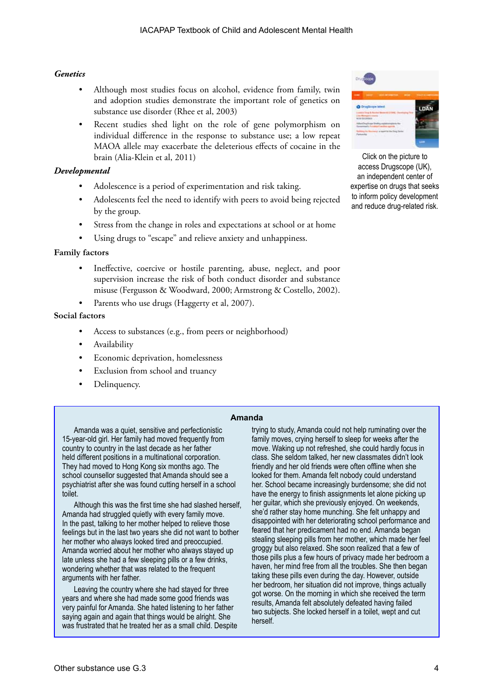#### *Genetics*

- Although most studies focus on alcohol, evidence from family, twin and adoption studies demonstrate the important role of genetics on substance use disorder (Rhee et al, 2003)
- Recent studies shed light on the role of gene polymorphism on individual difference in the response to substance use; a low repeat MAOA allele may exacerbate the deleterious effects of cocaine in the brain (Alia-Klein et al, 2011)

#### *Developmental*

- Adolescence is a period of experimentation and risk taking.
- Adolescents feel the need to identify with peers to avoid being rejected by the group.
- Stress from the change in roles and expectations at school or at home
- Using drugs to "escape" and relieve anxiety and unhappiness.

#### **Family factors**

- Ineffective, coercive or hostile parenting, abuse, neglect, and poor supervision increase the risk of both conduct disorder and substance misuse (Fergusson & Woodward, 2000; Armstrong & Costello, 2002).
- Parents who use drugs (Haggerty et al, 2007).

#### **Social factors**

- Access to substances (e.g., from peers or neighborhood)
- Availability
- Economic deprivation, homelessness
- Exclusion from school and truancy
- Delinquency.

#### **Amanda**

Amanda was a quiet, sensitive and perfectionistic 15-year-old girl. Her family had moved frequently from country to country in the last decade as her father held different positions in a multinational corporation. They had moved to Hong Kong six months ago. The school counsellor suggested that Amanda should see a psychiatrist after she was found cutting herself in a school toilet.

Although this was the first time she had slashed herself, Amanda had struggled quietly with every family move. In the past, talking to her mother helped to relieve those feelings but in the last two years she did not want to bother her mother who always looked tired and preoccupied. Amanda worried about her mother who always stayed up late unless she had a few sleeping pills or a few drinks, wondering whether that was related to the frequent arguments with her father.

Leaving the country where she had stayed for three years and where she had made some good friends was very painful for Amanda. She hated listening to her father saying again and again that things would be alright. She was frustrated that he treated her as a small child. Despite trying to study, Amanda could not help ruminating over the family moves, crying herself to sleep for weeks after the move. Waking up not refreshed, she could hardly focus in class. She seldom talked, her new classmates didn't look friendly and her old friends were often offline when she looked for them. Amanda felt nobody could understand her. School became increasingly burdensome; she did not have the energy to finish assignments let alone picking up her guitar, which she previously enjoyed. On weekends, she'd rather stay home munching. She felt unhappy and disappointed with her deteriorating school performance and feared that her predicament had no end. Amanda began stealing sleeping pills from her mother, which made her feel groggy but also relaxed. She soon realized that a few of those pills plus a few hours of privacy made her bedroom a haven, her mind free from all the troubles. She then began taking these pills even during the day. However, outside her bedroom, her situation did not improve, things actually got worse. On the morning in which she received the term results, Amanda felt absolutely defeated having failed two subjects. She locked herself in a toilet, wept and cut herself.



Click on the picture to access Drugscope (UK), an independent center of expertise on drugs that seeks to inform policy development and reduce drug-related risk.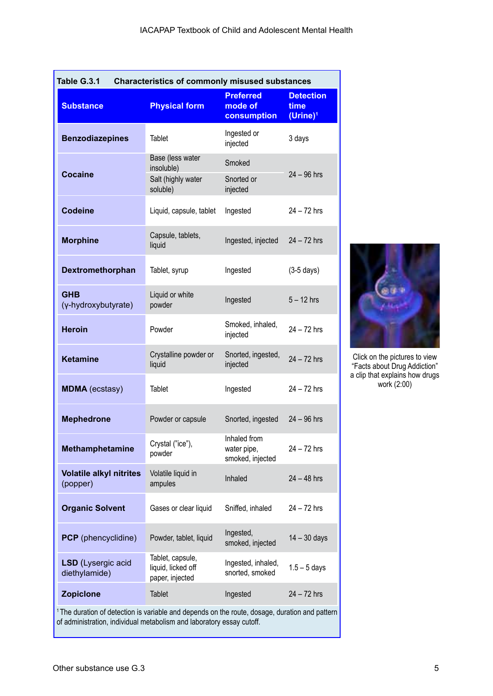| Table G.3.1<br><b>Characteristics of commonly misused substances</b> |                                                           |                                                 |                                                     |  |
|----------------------------------------------------------------------|-----------------------------------------------------------|-------------------------------------------------|-----------------------------------------------------|--|
| <b>Substance</b>                                                     | <b>Physical form</b>                                      | <b>Preferred</b><br>mode of<br>consumption      | <b>Detection</b><br>time<br>$(U$ rine) <sup>1</sup> |  |
| <b>Benzodiazepines</b>                                               | <b>Tablet</b>                                             | Ingested or<br>injected                         | 3 days                                              |  |
| <b>Cocaine</b>                                                       | Base (less water<br>insoluble)                            | Smoked                                          | $24 - 96$ hrs                                       |  |
|                                                                      | Salt (highly water<br>soluble)                            | Snorted or<br>injected                          |                                                     |  |
| <b>Codeine</b>                                                       | Liquid, capsule, tablet                                   | Ingested                                        | $24 - 72$ hrs                                       |  |
| <b>Morphine</b>                                                      | Capsule, tablets,<br>liquid                               | Ingested, injected                              | $24 - 72$ hrs                                       |  |
| Dextromethorphan                                                     | Tablet, syrup                                             | Ingested                                        | $(3-5$ days)                                        |  |
| <b>GHB</b><br>(y-hydroxybutyrate)                                    | Liquid or white<br>powder                                 | Ingested                                        | $5 - 12$ hrs                                        |  |
| <b>Heroin</b>                                                        | Powder                                                    | Smoked, inhaled,<br>injected                    | $24 - 72$ hrs                                       |  |
| <b>Ketamine</b>                                                      | Crystalline powder or<br>liquid                           | Snorted, ingested,<br>injected                  | $24 - 72$ hrs                                       |  |
| <b>MDMA</b> (ecstasy)                                                | <b>Tablet</b>                                             | Ingested                                        | $24 - 72$ hrs                                       |  |
| <b>Mephedrone</b>                                                    | Powder or capsule                                         | Snorted, ingested                               | $24 - 96$ hrs                                       |  |
| <b>Methamphetamine</b>                                               | Crystal ("ice"),<br>powder                                | Inhaled from<br>water pipe,<br>smoked, injected | $24 - 72$ hrs                                       |  |
| <b>Volatile alkyl nitrites</b><br>(popper)                           | Volatile liquid in<br>ampules                             | Inhaled                                         | $24 - 48$ hrs                                       |  |
| <b>Organic Solvent</b>                                               | Gases or clear liquid                                     | Sniffed, inhaled                                | $24 - 72$ hrs                                       |  |
| <b>PCP</b> (phencyclidine)                                           | Powder, tablet, liquid                                    | Ingested,<br>smoked, injected                   | $14 - 30$ days                                      |  |
| <b>LSD</b> (Lysergic acid<br>diethylamide)                           | Tablet, capsule,<br>liquid, licked off<br>paper, injected | Ingested, inhaled,<br>snorted, smoked           | $1.5 - 5$ days                                      |  |
| <b>Zopiclone</b>                                                     | <b>Tablet</b>                                             | Ingested                                        | $24 - 72$ hrs                                       |  |

<sup>1</sup> The duration of detection is variable and depends on the route, dosage, duration and pattern of administration, individual metabolism and laboratory essay cutoff.



Click on the pictures to view "Facts about Drug Addiction" a clip that explains how drugs work (2:00)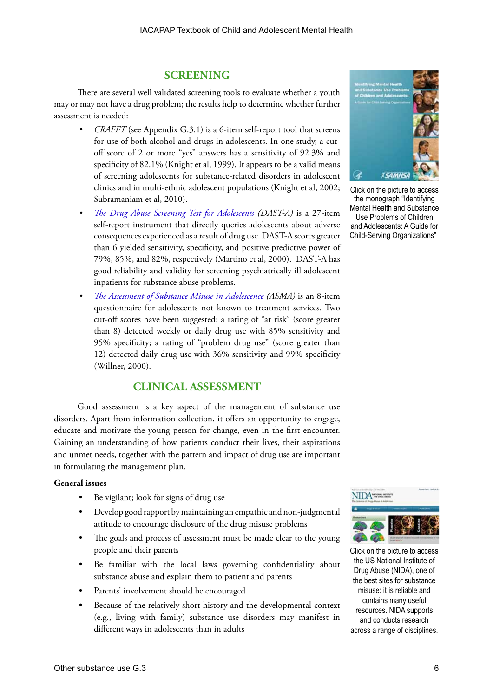## **SCREENING**

There are several well validated screening tools to evaluate whether a youth may or may not have a drug problem; the results help to determine whether further assessment is needed:

- *CRAFFT* (see Appendix G.3.1) is a 6-item self-report tool that screens for use of both alcohol and drugs in adolescents. In one study, a cutoff score of 2 or more "yes" answers has a sensitivity of 92.3% and specificity of 82.1% (Knight et al, 1999). It appears to be a valid means of screening adolescents for substance-related disorders in adolescent clinics and in multi-ethnic adolescent populations (Knight et al, 2002; Subramaniam et al, 2010).
- *• [The Drug Abuse Screening Test for Adolescents](http://www.dbhds.virginia.gov/documents/scrn-adol-DAST-A-Instrument.pdf ) (DAST-A)* is a 27-item self-report instrument that directly queries adolescents about adverse consequences experienced as a result of drug use. DAST-A scores greater than 6 yielded sensitivity, specificity, and positive predictive power of 79%, 85%, and 82%, respectively (Martino et al, 2000). DAST-A has good reliability and validity for screening psychiatrically ill adolescent inpatients for substance abuse problems.
- *• [The Assessment of Substance Misuse in Adolescence](http://onlinelibrary.wiley.com/doi/10.1046/j.1360-0443.2000.951116919.x/pdf ) (ASMA)* is an 8-item questionnaire for adolescents not known to treatment services. Two cut-off scores have been suggested: a rating of "at risk" (score greater than 8) detected weekly or daily drug use with 85% sensitivity and 95% specificity; a rating of "problem drug use" (score greater than 12) detected daily drug use with 36% sensitivity and 99% specificity (Willner, 2000).

### **CLINICAL ASSESSMENT**

Good assessment is a key aspect of the management of substance use disorders. Apart from information collection, it offers an opportunity to engage, educate and motivate the young person for change, even in the first encounter. Gaining an understanding of how patients conduct their lives, their aspirations and unmet needs, together with the pattern and impact of drug use are important in formulating the management plan.

#### **General issues**

- Be vigilant; look for signs of drug use
- Develop good rapport by maintaining an empathic and non-judgmental attitude to encourage disclosure of the drug misuse problems
- The goals and process of assessment must be made clear to the young people and their parents
- Be familiar with the local laws governing confidentiality about substance abuse and explain them to patient and parents
- Parents' involvement should be encouraged
- Because of the relatively short history and the developmental context (e.g., living with family) substance use disorders may manifest in different ways in adolescents than in adults



Click on the picture to access the monograph "Identifying Mental Health and Substance Use Problems of Children and Adolescents: A Guide for Child-Serving Organizations"



Click on the picture to access the US National Institute of Drug Abuse (NIDA), one of the best sites for substance misuse: it is reliable and contains many useful resources. NIDA supports and conducts research across a range of disciplines.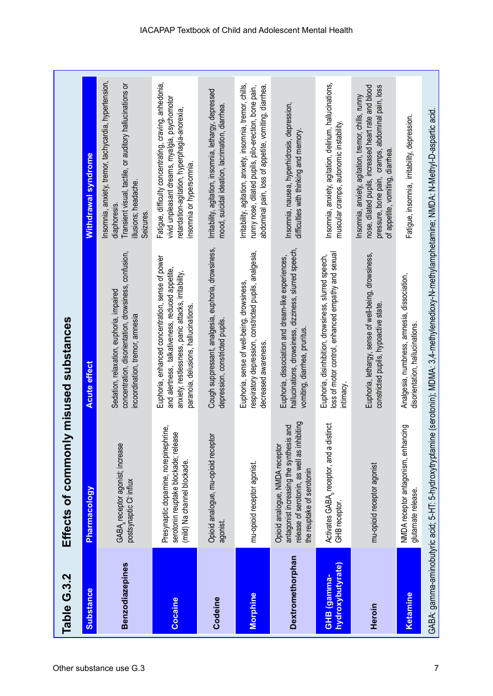| Table G.3.2                     | Effects of commonly                                                                                                                                   | y misused substances                                                                                                                                                                               |                                                                                                                                                                                                      |
|---------------------------------|-------------------------------------------------------------------------------------------------------------------------------------------------------|----------------------------------------------------------------------------------------------------------------------------------------------------------------------------------------------------|------------------------------------------------------------------------------------------------------------------------------------------------------------------------------------------------------|
| <b>Substance</b>                | Pharmacology                                                                                                                                          | <b>Acute effect</b>                                                                                                                                                                                | <b>Withdrawal syndrome</b>                                                                                                                                                                           |
| <b>Benzodiazepines</b>          | GABA receptor agonist; increase<br>postsynaptic CI-influx                                                                                             | concentration, disorientation, drowsiness, confusion,<br>Sedation, relaxation, euphoria, impaired<br>incoordination, tremor, amnesia                                                               | Insomnia, anxiety, tremor, tachycardia, hypertension,<br>Transient visual, tactile, or auditory hallucinations or<br>illusions; headache<br>diaphoresis.<br>Seizures.                                |
| Cocaine                         | Presynaptic dopamine, norepinephrine,<br>serotonin reuptake blockade; release<br>(mild) Na channel blockade.                                          | Euphoria, enhanced concentration, sense of power<br>and alertness, talkativeness, reduced appetite,<br>anxiety, restlessness, panic attacks, irritability,<br>paranoia, delusions, hallucinations. | Fatigue, difficulty concentrating, craving, anhedonia,<br>vivid unpleasant dreams, myalgia, psychomotor<br>retardation-agitation, hyperphagia-anorexia,<br>insomnia or hypersomnia.                  |
| Codeine                         | Opioid analogue, mu-opioid receptor<br>agonist.                                                                                                       | Cough suppressant, analgesia, euphoria, drowsiness,<br>depression, constricted pupils.                                                                                                             | Irritability, agitation, insomnia, lethargy, depressed<br>mood, suicidal ideation, lacrimation, diarrhea.                                                                                            |
| Morphine                        | mu-opioid receptor agonist.                                                                                                                           | respiratory depression, constricted pupils, analgesia,<br>Euphoria, sense of well-being, drowsiness,<br>decreased awareness.                                                                       | Irritability, agitation, anxiety, insomnia, tremor, chills,<br>runny nose, dilated pupils, pilo-erection, bone pain,<br>abdominal pain, loss of appetite, vomiting, diarrhea.                        |
| Dextromethorphan                | release of serotonin, as well as inhibiting<br>antagonist increasing the synthesis and<br>Opioid analogue, NMDA receptor<br>the reuptake of serotonin | hallucinations, drowsiness, dizziness, slurred speech,<br>Euphoria, dissociation and dream-like experiences,<br>vomiting, diarrhea, pruritus.                                                      | Insomnia, nausea, hyperhidrosis, depression,<br>difficulties with thinking and memory.                                                                                                               |
| hydroxybutyrate)<br>GHB (gamma- | Activates GABA, receptor, and a distinct<br>GHB receptor.                                                                                             | loss of motor control, enhanced empathy and sexual<br>Euphoria, disinhibition, drowsiness, slurred speech,<br>intimacy.                                                                            | Insomnia, anxiety, agitation, delirium, hallucinations,<br>muscular cramps, autonomic instability.                                                                                                   |
| Heroin                          | mu-opioid receptor agonist                                                                                                                            | Euphoria, lethargy, sense of well-being, drowsiness,<br>constricted pupils, hypoactive state.                                                                                                      | nose, dilated pupils, increased heart rate and blood<br>pressure, bone pain, cramps, abdominal pain, loss<br>Insomnia, anxiety, agitation, tremor, chills, runny<br>of appetite, vomiting, diarrhea. |
| Ketamine                        | NMDA receptor antagonism, enhancing<br>glutamate release.                                                                                             | Analgesia, numbness, amnesia, dissociation,<br>disorientation, hallucinations.                                                                                                                     | Fatigue, insomnia, irritability, depression.                                                                                                                                                         |
|                                 | GABA: gamma-aminobutyric acid; 5-HT: 5-hydroxytryptamin                                                                                               | e (serotonin); MDMA: 3,4-methylenedioxy-N-methylamphetamine; NMDA: N-Methyl-D-aspartic acid.                                                                                                       |                                                                                                                                                                                                      |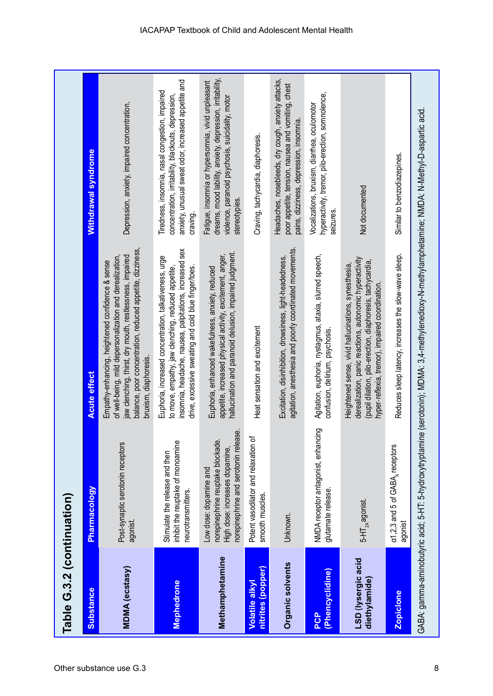| Table G.3.2 (continuation)                 |                                                                                                                                        |                                                                                                                                                                                                                                                                |                                                                                                                                                                                      |
|--------------------------------------------|----------------------------------------------------------------------------------------------------------------------------------------|----------------------------------------------------------------------------------------------------------------------------------------------------------------------------------------------------------------------------------------------------------------|--------------------------------------------------------------------------------------------------------------------------------------------------------------------------------------|
| <b>Substance</b>                           | Pharmacology                                                                                                                           | <b>Acute effect</b>                                                                                                                                                                                                                                            | <b>Withdrawal syndrome</b>                                                                                                                                                           |
| <b>MDMA</b> (ecstasy)                      | Post-synaptic serotonin receptors<br>agonist.                                                                                          | balance, poor concentration, reduced appetite, dizziness,<br>of well-being, mild depersonalization and derealization,<br>jaw clenching, thirst, dry mouth, restlessness, impaired<br>Empathy-enhancing, heightened confidence & sense<br>bruxism, diaphoresis. | Depression, anxiety, impaired concentration.                                                                                                                                         |
| Mephedrone                                 | inhibit the reuptake of monoamine<br>Stimulate the release and then<br>neurotransmitters.                                              | insomnia, headache, nausea, palpitations, increased sex<br>Euphoria, increased concentration, talkativeness, urge<br>drive, excessive sweating and cold blue finger/toes.<br>to move, empathy, jaw clenching, reduced appetite,                                | anxiety, unusual sweat odor, increased appetite and<br>Tiredness, insomnia, nasal congestion, impaired<br>concentration, irritability, blackouts, depression,<br>craving.            |
| Methamphetamine                            | norepinephrine and serotonin release.<br>norepinephrine reuptake blockade.<br>High dose: increases dopamine,<br>Low dose: dopamine and | hallucination and paranoid delusion, impaired judgment.<br>appetite, increased physical activity, excitement, anger,<br>Euphoria, enhanced wakefulness, anxiety, reduced                                                                                       | dreams, mood lability, anxiety, depression, irritability,<br>Fatigue, insomnia or hypersomnia, vivid unpleasant<br>violence, paranoid psychosis, suicidality, motor<br>stereotypies. |
| nitrites (popper)<br><b>Volatile alkyl</b> | Potent vasodilator and relaxation of<br>smooth muscles.                                                                                | Heat sensation and excitement                                                                                                                                                                                                                                  | Craving, tachycardia, diaphoresis.                                                                                                                                                   |
| <b>Organic solvents</b>                    | Unknown.                                                                                                                               | agitation, anesthesia and poorly coordinated movements.<br>Excitation, disinhibition, drowsiness, light-headedness,                                                                                                                                            | Headaches, nosebleeds, dry cough, anxiety attacks,<br>poor appetite, tension, nausea and vomiting, chest<br>pains, dizziness, depression, insomnia.                                  |
| (Phencyclidine)<br><b>PCP</b>              | NMDA receptor antagonist, enhancing<br>glutamate release.                                                                              | Agitation, euphoria, nystagmus, ataxia, slurred speech,<br>confusion, delirium, psychosis.                                                                                                                                                                     | hyperactivity, tremor, pilo-erection, somnolence,<br>Vocalizations, bruxism, diarrhea, oculomotor<br>seizures.                                                                       |
| LSD (lysergic acid<br>diethylamide)        | 5-HT $_{\rm 2A}$ agonist.                                                                                                              | derealization, panic reactions, autonomic hyperactivity<br>(pupil dilation, pilo-erection, diaphoresis, tachycardia,<br>Heightened sense, vivid hallucinations, synesthesia,<br>hyper-reflexia, tremor), impaired coordination.                                | Not documented                                                                                                                                                                       |
| <b>Zopiclone</b>                           | of 1,2,3 and 5 of GABA, receptors<br>agonist                                                                                           | Reduces sleep latency, increases the slow-wave sleep.                                                                                                                                                                                                          | Similar to benzodiazepines.                                                                                                                                                          |
|                                            | GABA: gamma-aminobutyric acid; 5-HT: 5-hydroxytryptamin                                                                                | e (serotonin); MDMA: 3,4-methylenedioxy-N-methylamphetamine; NMDA: N-Methyl-D-aspartic acid.                                                                                                                                                                   |                                                                                                                                                                                      |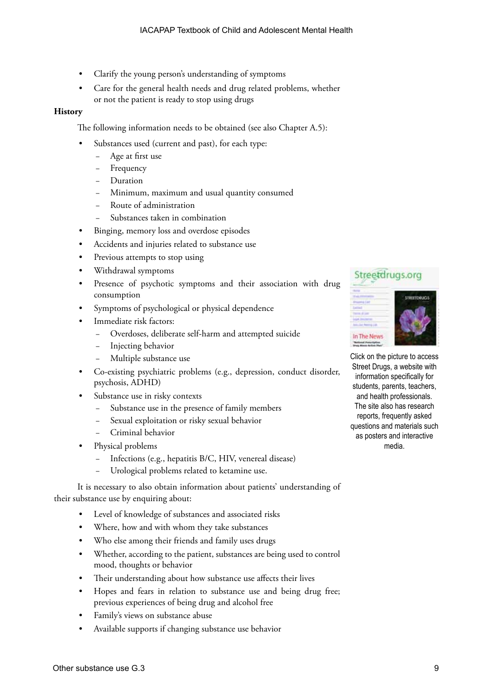- Clarify the young person's understanding of symptoms
- Care for the general health needs and drug related problems, whether or not the patient is ready to stop using drugs

#### **History**

The following information needs to be obtained (see also Chapter A.5):

- Substances used (current and past), for each type:
	- − Age at first use
	- Frequency
	- Duration
	- Minimum, maximum and usual quantity consumed
	- − Route of administration
	- Substances taken in combination
- Binging, memory loss and overdose episodes
- Accidents and injuries related to substance use
- Previous attempts to stop using
- Withdrawal symptoms
- Presence of psychotic symptoms and their association with drug consumption
- Symptoms of psychological or physical dependence
- Immediate risk factors:
	- Overdoses, deliberate self-harm and attempted suicide
	- Injecting behavior
	- − Multiple substance use
- Co-existing psychiatric problems (e.g., depression, conduct disorder, psychosis, ADHD)
- Substance use in risky contexts
	- Substance use in the presence of family members
	- Sexual exploitation or risky sexual behavior
	- − Criminal behavior
- Physical problems
	- Infections (e.g., hepatitis B/C, HIV, venereal disease)
	- Urological problems related to ketamine use.

It is necessary to also obtain information about patients' understanding of their substance use by enquiring about:

- Level of knowledge of substances and associated risks
- Where, how and with whom they take substances
- Who else among their friends and family uses drugs
- Whether, according to the patient, substances are being used to control mood, thoughts or behavior
- Their understanding about how substance use affects their lives
- Hopes and fears in relation to substance use and being drug free; previous experiences of being drug and alcohol free
- Family's views on substance abuse
- Available supports if changing substance use behavior

## Streetdrugs.org





Click on the picture to access Street Drugs, a website with information specifically for students, parents, teachers, and health professionals. The site also has research reports, frequently asked questions and materials such as posters and interactive media.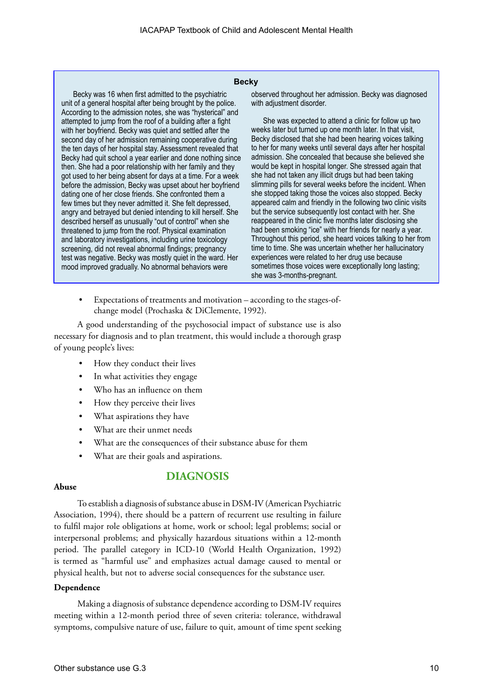#### **Becky**

Becky was 16 when first admitted to the psychiatric unit of a general hospital after being brought by the police. According to the admission notes, she was "hysterical" and attempted to jump from the roof of a building after a fight with her boyfriend. Becky was quiet and settled after the second day of her admission remaining cooperative during the ten days of her hospital stay. Assessment revealed that Becky had quit school a year earlier and done nothing since then. She had a poor relationship with her family and they got used to her being absent for days at a time. For a week before the admission, Becky was upset about her boyfriend dating one of her close friends. She confronted them a few times but they never admitted it. She felt depressed, angry and betrayed but denied intending to kill herself. She described herself as unusually "out of control" when she threatened to jump from the roof. Physical examination and laboratory investigations, including urine toxicology screening, did not reveal abnormal findings; pregnancy test was negative. Becky was mostly quiet in the ward. Her mood improved gradually. No abnormal behaviors were

observed throughout her admission. Becky was diagnosed with adjustment disorder.

She was expected to attend a clinic for follow up two weeks later but turned up one month later. In that visit, Becky disclosed that she had been hearing voices talking to her for many weeks until several days after her hospital admission. She concealed that because she believed she would be kept in hospital longer. She stressed again that she had not taken any illicit drugs but had been taking slimming pills for several weeks before the incident. When she stopped taking those the voices also stopped. Becky appeared calm and friendly in the following two clinic visits but the service subsequently lost contact with her. She reappeared in the clinic five months later disclosing she had been smoking "ice" with her friends for nearly a year. Throughout this period, she heard voices talking to her from time to time. She was uncertain whether her hallucinatory experiences were related to her drug use because sometimes those voices were exceptionally long lasting; she was 3-months-pregnant.

• Expectations of treatments and motivation – according to the stages-ofchange model (Prochaska & DiClemente, 1992).

A good understanding of the psychosocial impact of substance use is also necessary for diagnosis and to plan treatment, this would include a thorough grasp of young people's lives:

- How they conduct their lives
- In what activities they engage
- Who has an influence on them
- How they perceive their lives
- What aspirations they have
- What are their unmet needs
- What are the consequences of their substance abuse for them
- What are their goals and aspirations.

#### **DIAGNOSIS**

#### **Abuse**

To establish a diagnosis of substance abuse in DSM-IV (American Psychiatric Association, 1994), there should be a pattern of recurrent use resulting in failure to fulfil major role obligations at home, work or school; legal problems; social or interpersonal problems; and physically hazardous situations within a 12-month period. The parallel category in ICD-10 (World Health Organization, 1992) is termed as "harmful use" and emphasizes actual damage caused to mental or physical health, but not to adverse social consequences for the substance user.

#### **Dependence**

Making a diagnosis of substance dependence according to DSM-IV requires meeting within a 12-month period three of seven criteria: tolerance, withdrawal symptoms, compulsive nature of use, failure to quit, amount of time spent seeking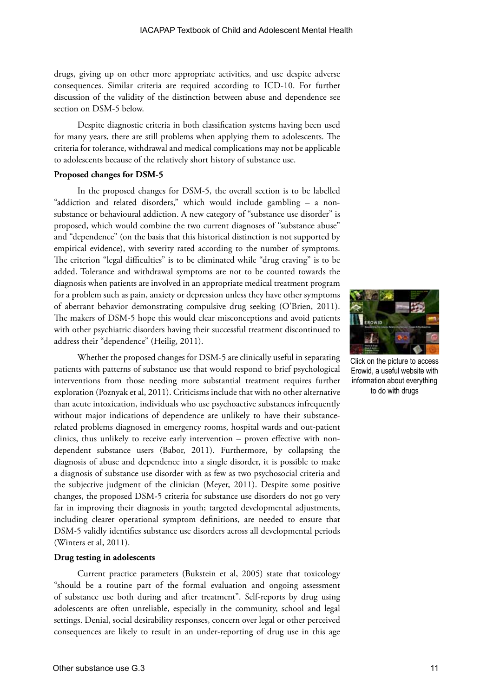drugs, giving up on other more appropriate activities, and use despite adverse consequences. Similar criteria are required according to ICD-10. For further discussion of the validity of the distinction between abuse and dependence see section on DSM-5 below.

Despite diagnostic criteria in both classification systems having been used for many years, there are still problems when applying them to adolescents. The criteria for tolerance, withdrawal and medical complications may not be applicable to adolescents because of the relatively short history of substance use.

#### **Proposed changes for DSM-5**

In the proposed changes for DSM-5, the overall section is to be labelled "addiction and related disorders," which would include gambling – a nonsubstance or behavioural addiction. A new category of "substance use disorder" is proposed, which would combine the two current diagnoses of "substance abuse" and "dependence" (on the basis that this historical distinction is not supported by empirical evidence), with severity rated according to the number of symptoms. The criterion "legal difficulties" is to be eliminated while "drug craving" is to be added. Tolerance and withdrawal symptoms are not to be counted towards the diagnosis when patients are involved in an appropriate medical treatment program for a problem such as pain, anxiety or depression unless they have other symptoms of aberrant behavior demonstrating compulsive drug seeking (O'Brien, 2011). The makers of DSM-5 hope this would clear misconceptions and avoid patients with other psychiatric disorders having their successful treatment discontinued to address their "dependence" (Heilig, 2011).

Whether the proposed changes for DSM-5 are clinically useful in separating patients with patterns of substance use that would respond to brief psychological interventions from those needing more substantial treatment requires further exploration (Poznyak et al, 2011). Criticisms include that with no other alternative than acute intoxication, individuals who use psychoactive substances infrequently without major indications of dependence are unlikely to have their substancerelated problems diagnosed in emergency rooms, hospital wards and out-patient clinics, thus unlikely to receive early intervention – proven effective with nondependent substance users (Babor, 2011). Furthermore, by collapsing the diagnosis of abuse and dependence into a single disorder, it is possible to make a diagnosis of substance use disorder with as few as two psychosocial criteria and the subjective judgment of the clinician (Meyer, 2011). Despite some positive changes, the proposed DSM-5 criteria for substance use disorders do not go very far in improving their diagnosis in youth; targeted developmental adjustments, including clearer operational symptom definitions, are needed to ensure that DSM-5 validly identifies substance use disorders across all developmental periods (Winters et al, 2011).

#### **Drug testing in adolescents**

Current practice parameters (Bukstein et al, 2005) state that toxicology "should be a routine part of the formal evaluation and ongoing assessment of substance use both during and after treatment". Self-reports by drug using adolescents are often unreliable, especially in the community, school and legal settings. Denial, social desirability responses, concern over legal or other perceived consequences are likely to result in an under-reporting of drug use in this age



Click on the picture to access Erowid, a useful website with information about everything to do with drugs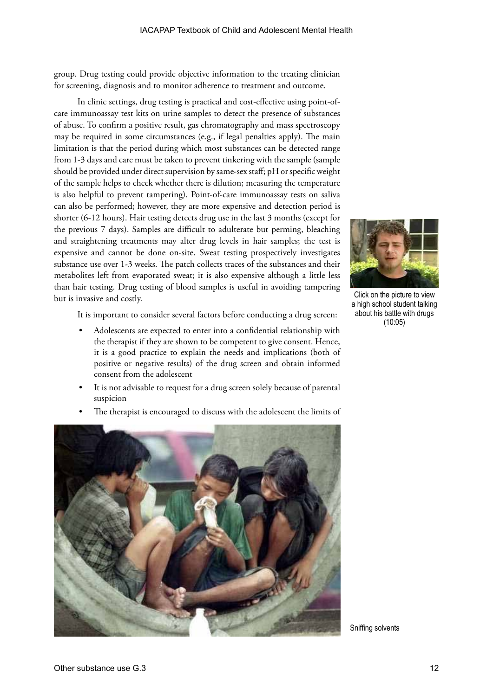group. Drug testing could provide objective information to the treating clinician for screening, diagnosis and to monitor adherence to treatment and outcome.

In clinic settings, drug testing is practical and cost-effective using point-ofcare immunoassay test kits on urine samples to detect the presence of substances of abuse. To confirm a positive result, gas chromatography and mass spectroscopy may be required in some circumstances (e.g., if legal penalties apply). The main limitation is that the period during which most substances can be detected range from 1-3 days and care must be taken to prevent tinkering with the sample (sample should be provided under direct supervision by same-sex staff; pH or specific weight of the sample helps to check whether there is dilution; measuring the temperature is also helpful to prevent tampering). Point-of-care immunoassay tests on saliva can also be performed; however, they are more expensive and detection period is shorter (6-12 hours). Hair testing detects drug use in the last 3 months (except for the previous 7 days). Samples are difficult to adulterate but perming, bleaching and straightening treatments may alter drug levels in hair samples; the test is expensive and cannot be done on-site. Sweat testing prospectively investigates substance use over 1-3 weeks. The patch collects traces of the substances and their metabolites left from evaporated sweat; it is also expensive although a little less than hair testing. Drug testing of blood samples is useful in avoiding tampering but is invasive and costly.

Click on the picture to view a high school student talking about his battle with drugs (10:05)

It is important to consider several factors before conducting a drug screen:

- Adolescents are expected to enter into a confidential relationship with the therapist if they are shown to be competent to give consent. Hence, it is a good practice to explain the needs and implications (both of positive or negative results) of the drug screen and obtain informed consent from the adolescent
- It is not advisable to request for a drug screen solely because of parental suspicion
- The therapist is encouraged to discuss with the adolescent the limits of

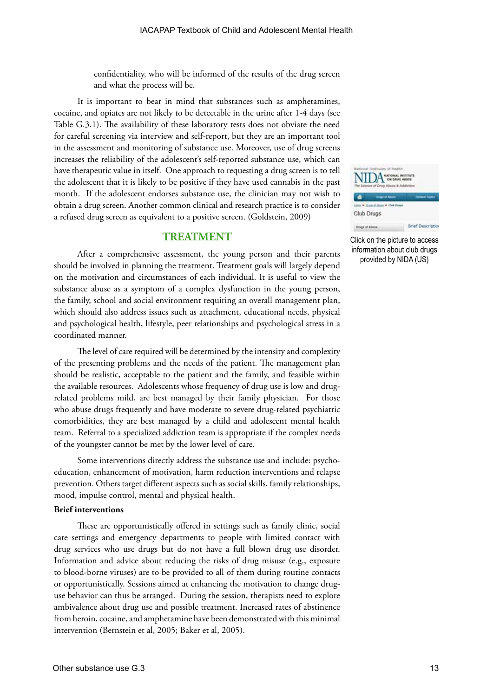confidentiality, who will be informed of the results of the drug screen and what the process will be.

It is important to bear in mind that substances such as amphetamines, cocaine, and opiates are not likely to be detectable in the urine after 1-4 days (see Table G.3.1). The availability of these laboratory tests does not obviate the need for careful screening via interview and self-report, but they are an important tool in the assessment and monitoring of substance use. Moreover, use of drug screens increases the reliability of the adolescent's self-reported substance use, which can have therapeutic value in itself. One approach to requesting a drug screen is to tell the adolescent that it is likely to be positive if they have used cannabis in the past month. If the adolescent endorses substance use, the clinician may not wish to obtain a drug screen. Another common clinical and research practice is to consider a refused drug screen as equivalent to a positive screen. (Goldstein, 2009)

#### **TREATMENT**

After a comprehensive assessment, the young person and their parents should be involved in planning the treatment. Treatment goals will largely depend on the motivation and circumstances of each individual. It is useful to view the substance abuse as a symptom of a complex dysfunction in the young person, the family, school and social environment requiring an overall management plan, which should also address issues such as attachment, educational needs, physical and psychological health, lifestyle, peer relationships and psychological stress in a coordinated manner.

The level of care required will be determined by the intensity and complexity of the presenting problems and the needs of the patient. The management plan should be realistic, acceptable to the patient and the family, and feasible within the available resources. Adolescents whose frequency of drug use is low and drugrelated problems mild, are best managed by their family physician. For those who abuse drugs frequently and have moderate to severe drug-related psychiatric comorbidities, they are best managed by a child and adolescent mental health team. Referral to a specialized addiction team is appropriate if the complex needs of the youngster cannot be met by the lower level of care.

Some interventions directly address the substance use and include: psychoeducation, enhancement of motivation, harm reduction interventions and relapse prevention. Others target different aspects such as social skills, family relationships, mood, impulse control, mental and physical health.

#### **Brief interventions**

These are opportunistically offered in settings such as family clinic, social care settings and emergency departments to people with limited contact with drug services who use drugs but do not have a full blown drug use disorder. Information and advice about reducing the risks of drug misuse (e.g., exposure to blood-borne viruses) are to be provided to all of them during routine contacts or opportunistically. Sessions aimed at enhancing the motivation to change druguse behavior can thus be arranged. During the session, therapists need to explore ambivalence about drug use and possible treatment. Increased rates of abstinence from heroin, cocaine, and amphetamine have been demonstrated with this minimal intervention (Bernstein et al, 2005; Baker et al, 2005).



Click on the picture to access information about club drugs provided by NIDA (US)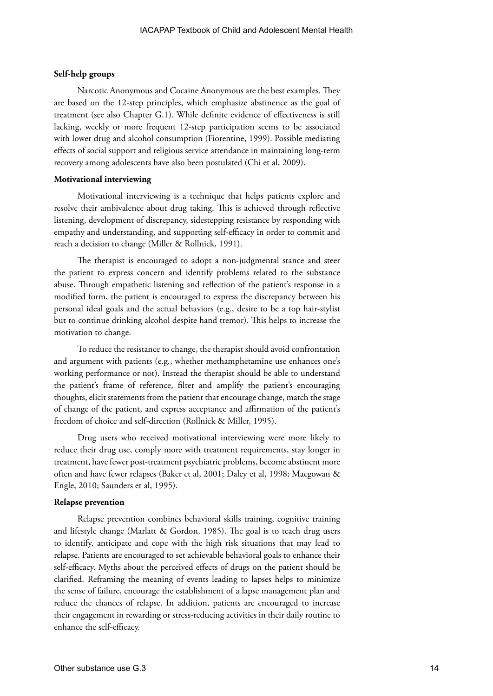#### **Self-help groups**

Narcotic Anonymous and Cocaine Anonymous are the best examples. They are based on the 12-step principles, which emphasize abstinence as the goal of treatment (see also Chapter G.1). While definite evidence of effectiveness is still lacking, weekly or more frequent 12-step participation seems to be associated with lower drug and alcohol consumption (Fiorentine, 1999). Possible mediating effects of social support and religious service attendance in maintaining long-term recovery among adolescents have also been postulated (Chi et al, 2009).

#### **Motivational interviewing**

Motivational interviewing is a technique that helps patients explore and resolve their ambivalence about drug taking. This is achieved through reflective listening, development of discrepancy, sidestepping resistance by responding with empathy and understanding, and supporting self-efficacy in order to commit and reach a decision to change (Miller & Rollnick, 1991).

The therapist is encouraged to adopt a non-judgmental stance and steer the patient to express concern and identify problems related to the substance abuse. Through empathetic listening and reflection of the patient's response in a modified form, the patient is encouraged to express the discrepancy between his personal ideal goals and the actual behaviors (e.g., desire to be a top hair-stylist but to continue drinking alcohol despite hand tremor). This helps to increase the motivation to change.

To reduce the resistance to change, the therapist should avoid confrontation and argument with patients (e.g., whether methamphetamine use enhances one's working performance or not). Instead the therapist should be able to understand the patient's frame of reference, filter and amplify the patient's encouraging thoughts, elicit statements from the patient that encourage change, match the stage of change of the patient, and express acceptance and affirmation of the patient's freedom of choice and self-direction (Rollnick & Miller, 1995).

Drug users who received motivational interviewing were more likely to reduce their drug use, comply more with treatment requirements, stay longer in treatment, have fewer post-treatment psychiatric problems, become abstinent more often and have fewer relapses (Baker et al, 2001; Daley et al, 1998; Macgowan & Engle, 2010; Saunders et al, 1995).

#### **Relapse prevention**

Relapse prevention combines behavioral skills training, cognitive training and lifestyle change (Marlatt & Gordon, 1985). The goal is to teach drug users to identify, anticipate and cope with the high risk situations that may lead to relapse. Patients are encouraged to set achievable behavioral goals to enhance their self-efficacy. Myths about the perceived effects of drugs on the patient should be clarified. Reframing the meaning of events leading to lapses helps to minimize the sense of failure, encourage the establishment of a lapse management plan and reduce the chances of relapse. In addition, patients are encouraged to increase their engagement in rewarding or stress-reducing activities in their daily routine to enhance the self-efficacy.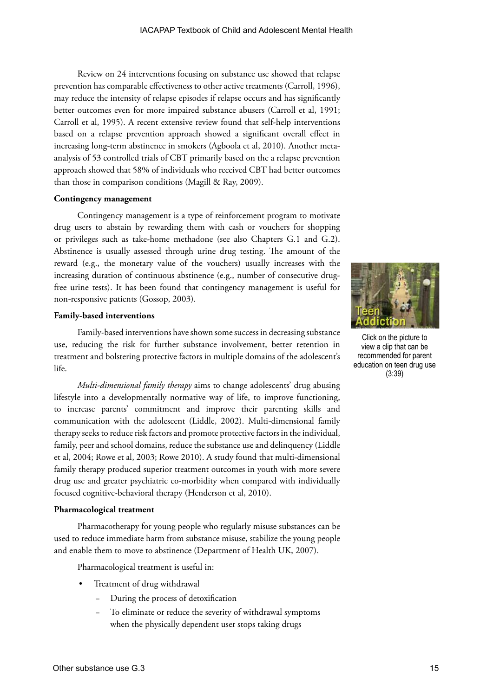Review on 24 interventions focusing on substance use showed that relapse prevention has comparable effectiveness to other active treatments (Carroll, 1996), may reduce the intensity of relapse episodes if relapse occurs and has significantly better outcomes even for more impaired substance abusers (Carroll et al, 1991; Carroll et al, 1995). A recent extensive review found that self-help interventions based on a relapse prevention approach showed a significant overall effect in increasing long-term abstinence in smokers (Agboola et al, 2010). Another metaanalysis of 53 controlled trials of CBT primarily based on the a relapse prevention approach showed that 58% of individuals who received CBT had better outcomes than those in comparison conditions (Magill & Ray, 2009).

#### **Contingency management**

Contingency management is a type of reinforcement program to motivate drug users to abstain by rewarding them with cash or vouchers for shopping or privileges such as take-home methadone (see also Chapters G.1 and G.2). Abstinence is usually assessed through urine drug testing. The amount of the reward (e.g., the monetary value of the vouchers) usually increases with the increasing duration of continuous abstinence (e.g., number of consecutive drugfree urine tests). It has been found that contingency management is useful for non-responsive patients (Gossop, 2003).

#### **Family-based interventions**

Family-based interventions have shown some success in decreasing substance use, reducing the risk for further substance involvement, better retention in treatment and bolstering protective factors in multiple domains of the adolescent's life.

*Multi-dimensional family therapy* aims to change adolescents' drug abusing lifestyle into a developmentally normative way of life, to improve functioning, to increase parents' commitment and improve their parenting skills and communication with the adolescent (Liddle, 2002). Multi-dimensional family therapy seeks to reduce risk factors and promote protective factors in the individual, family, peer and school domains, reduce the substance use and delinquency (Liddle et al, 2004; Rowe et al, 2003; Rowe 2010). A study found that multi-dimensional family therapy produced superior treatment outcomes in youth with more severe drug use and greater psychiatric co-morbidity when compared with individually focused cognitive-behavioral therapy (Henderson et al, 2010).

#### **Pharmacological treatment**

Pharmacotherapy for young people who regularly misuse substances can be used to reduce immediate harm from substance misuse, stabilize the young people and enable them to move to abstinence (Department of Health UK, 2007).

Pharmacological treatment is useful in:

- Treatment of drug withdrawal
	- During the process of detoxification
	- To eliminate or reduce the severity of withdrawal symptoms when the physically dependent user stops taking drugs



Click on the picture to view a clip that can be recommended for parent education on teen drug use (3:39)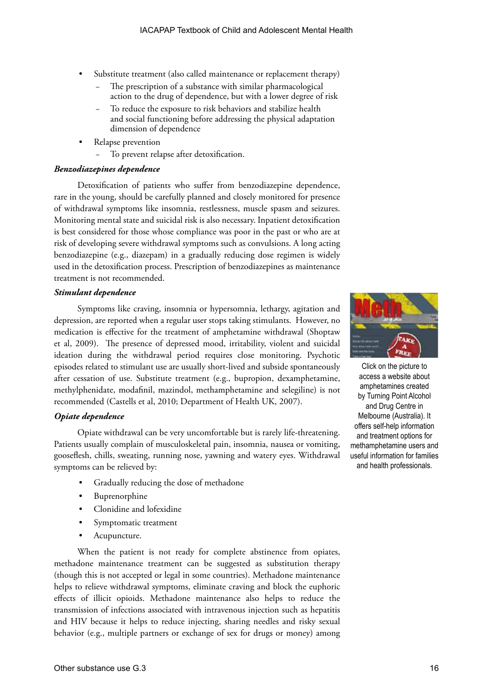- Substitute treatment (also called maintenance or replacement therapy)
	- The prescription of a substance with similar pharmacological action to the drug of dependence, but with a lower degree of risk
	- To reduce the exposure to risk behaviors and stabilize health and social functioning before addressing the physical adaptation dimension of dependence
- Relapse prevention
	- To prevent relapse after detoxification.

#### *Benzodiazepines dependence*

Detoxification of patients who suffer from benzodiazepine dependence, rare in the young, should be carefully planned and closely monitored for presence of withdrawal symptoms like insomnia, restlessness, muscle spasm and seizures. Monitoring mental state and suicidal risk is also necessary. Inpatient detoxification is best considered for those whose compliance was poor in the past or who are at risk of developing severe withdrawal symptoms such as convulsions. A long acting benzodiazepine (e.g., diazepam) in a gradually reducing dose regimen is widely used in the detoxification process. Prescription of benzodiazepines as maintenance treatment is not recommended.

#### *Stimulant dependence*

Symptoms like craving, insomnia or hypersomnia, lethargy, agitation and depression, are reported when a regular user stops taking stimulants. However, no medication is effective for the treatment of amphetamine withdrawal (Shoptaw et al, 2009). The presence of depressed mood, irritability, violent and suicidal ideation during the withdrawal period requires close monitoring. Psychotic episodes related to stimulant use are usually short-lived and subside spontaneously after cessation of use. Substitute treatment (e.g., bupropion, dexamphetamine, methylphenidate, modafinil, mazindol, methamphetamine and selegiline) is not recommended (Castells et al, 2010; Department of Health UK, 2007).

#### *Opiate dependence*

Opiate withdrawal can be very uncomfortable but is rarely life-threatening. Patients usually complain of musculoskeletal pain, insomnia, nausea or vomiting, gooseflesh, chills, sweating, running nose, yawning and watery eyes. Withdrawal symptoms can be relieved by:

- Gradually reducing the dose of methadone
- **Buprenorphine**
- Clonidine and lofexidine
- Symptomatic treatment
- Acupuncture.

When the patient is not ready for complete abstinence from opiates, methadone maintenance treatment can be suggested as substitution therapy (though this is not accepted or legal in some countries). Methadone maintenance helps to relieve withdrawal symptoms, eliminate craving and block the euphoric effects of illicit opioids. Methadone maintenance also helps to reduce the transmission of infections associated with intravenous injection such as hepatitis and HIV because it helps to reduce injecting, sharing needles and risky sexual behavior (e.g., multiple partners or exchange of sex for drugs or money) among



Click on the picture to access a website about amphetamines created by Turning Point Alcohol and Drug Centre in Melbourne (Australia). It offers self-help information and treatment options for methamphetamine users and useful information for families and health professionals.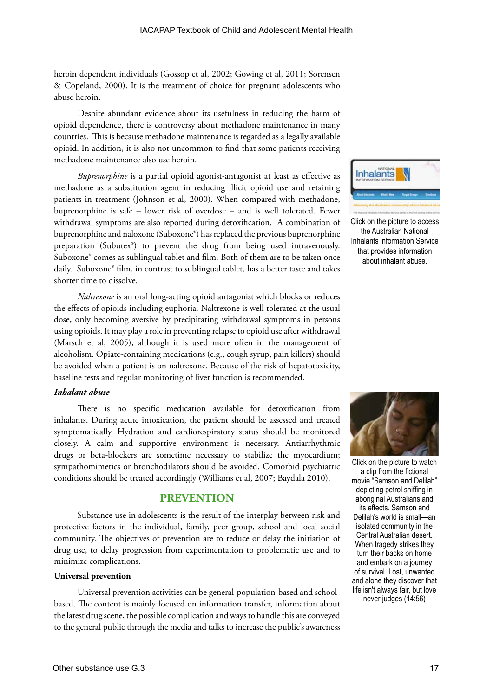heroin dependent individuals (Gossop et al, 2002; Gowing et al, 2011; Sorensen & Copeland, 2000). It is the treatment of choice for pregnant adolescents who abuse heroin.

Despite abundant evidence about its usefulness in reducing the harm of opioid dependence, there is controversy about methadone maintenance in many countries. This is because methadone maintenance is regarded as a legally available opioid. In addition, it is also not uncommon to find that some patients receiving methadone maintenance also use heroin.

*Buprenorphine* is a partial opioid agonist-antagonist at least as effective as methadone as a substitution agent in reducing illicit opioid use and retaining patients in treatment (Johnson et al, 2000). When compared with methadone, buprenorphine is safe – lower risk of overdose – and is well tolerated. Fewer withdrawal symptoms are also reported during detoxification. A combination of buprenorphine and naloxone (Suboxone®) has replaced the previous buprenorphine preparation (Subutex®) to prevent the drug from being used intravenously. Suboxone® comes as sublingual tablet and film. Both of them are to be taken once daily. Suboxone® film, in contrast to sublingual tablet, has a better taste and takes shorter time to dissolve.

*Naltrexone* is an oral long-acting opioid antagonist which blocks or reduces the effects of opioids including euphoria. Naltrexone is well tolerated at the usual dose, only becoming aversive by precipitating withdrawal symptoms in persons using opioids. It may play a role in preventing relapse to opioid use after withdrawal (Marsch et al, 2005), although it is used more often in the management of alcoholism. Opiate-containing medications (e.g., cough syrup, pain killers) should be avoided when a patient is on naltrexone. Because of the risk of hepatotoxicity, baseline tests and regular monitoring of liver function is recommended.

#### *Inhalant abuse*

There is no specific medication available for detoxification from inhalants. During acute intoxication, the patient should be assessed and treated symptomatically. Hydration and cardiorespiratory status should be monitored closely. A calm and supportive environment is necessary. Antiarrhythmic drugs or beta-blockers are sometime necessary to stabilize the myocardium; sympathomimetics or bronchodilators should be avoided. Comorbid psychiatric conditions should be treated accordingly (Williams et al, 2007; Baydala 2010).

#### **PREVENTION**

Substance use in adolescents is the result of the interplay between risk and protective factors in the individual, family, peer group, school and local social community. The objectives of prevention are to reduce or delay the initiation of drug use, to delay progression from experimentation to problematic use and to minimize complications.

#### **Universal prevention**

Universal prevention activities can be general-population-based and schoolbased. The content is mainly focused on information transfer, information about the latest drug scene, the possible complication and ways to handle this are conveyed to the general public through the media and talks to increase the public's awareness



Click on the picture to access the Australian National Inhalants information Service that provides information about inhalant abuse.



Click on the picture to watch a clip from the fictional movie "Samson and Delilah" depicting petrol sniffing in aboriginal Australians and its effects. Samson and Delilah's world is small—an isolated community in the Central Australian desert. When tragedy strikes they turn their backs on home and embark on a journey of survival. Lost, unwanted and alone they discover that life isn't always fair, but love

never judges (14:56)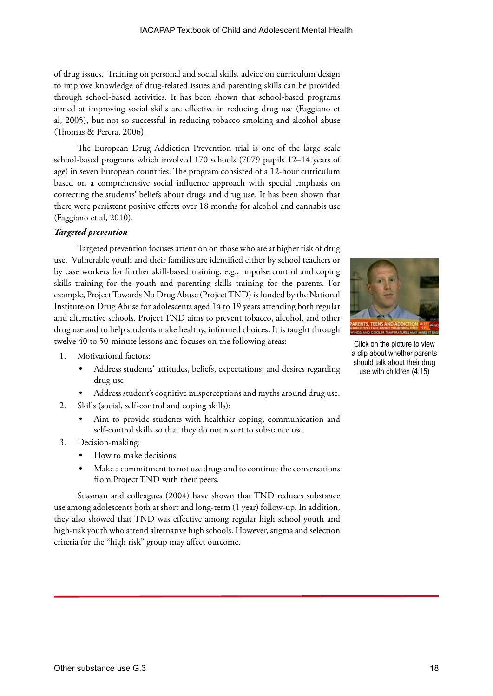of drug issues. Training on personal and social skills, advice on curriculum design to improve knowledge of drug-related issues and parenting skills can be provided through school-based activities. It has been shown that school-based programs aimed at improving social skills are effective in reducing drug use (Faggiano et al, 2005), but not so successful in reducing tobacco smoking and alcohol abuse (Thomas & Perera, 2006).

The European Drug Addiction Prevention trial is one of the large scale school-based programs which involved 170 schools (7079 pupils 12–14 years of age) in seven European countries. The program consisted of a 12-hour curriculum based on a comprehensive social influence approach with special emphasis on correcting the students' beliefs about drugs and drug use. It has been shown that there were persistent positive effects over 18 months for alcohol and cannabis use (Faggiano et al, 2010).

#### *Targeted prevention*

Targeted prevention focuses attention on those who are at higher risk of drug use. Vulnerable youth and their families are identified either by school teachers or by case workers for further skill-based training, e.g., impulse control and coping skills training for the youth and parenting skills training for the parents. For example, Project Towards No Drug Abuse (Project TND) is funded by the National Institute on Drug Abuse for adolescents aged 14 to 19 years attending both regular and alternative schools. Project TND aims to prevent tobacco, alcohol, and other drug use and to help students make healthy, informed choices. It is taught through twelve 40 to 50-minute lessons and focuses on the following areas:

Click on the picture to view

- 1. Motivational factors:
	- Address students' attitudes, beliefs, expectations, and desires regarding drug use
	- Address student's cognitive misperceptions and myths around drug use.
- 2. Skills (social, self-control and coping skills):
	- Aim to provide students with healthier coping, communication and self-control skills so that they do not resort to substance use.
- 3. Decision-making:
	- How to make decisions
	- Make a commitment to not use drugs and to continue the conversations from Project TND with their peers.

Sussman and colleagues (2004) have shown that TND reduces substance use among adolescents both at short and long-term (1 year) follow-up. In addition, they also showed that TND was effective among regular high school youth and high-risk youth who attend alternative high schools. However, stigma and selection criteria for the "high risk" group may affect outcome.

a clip about whether parents should talk about their drug use with children (4:15)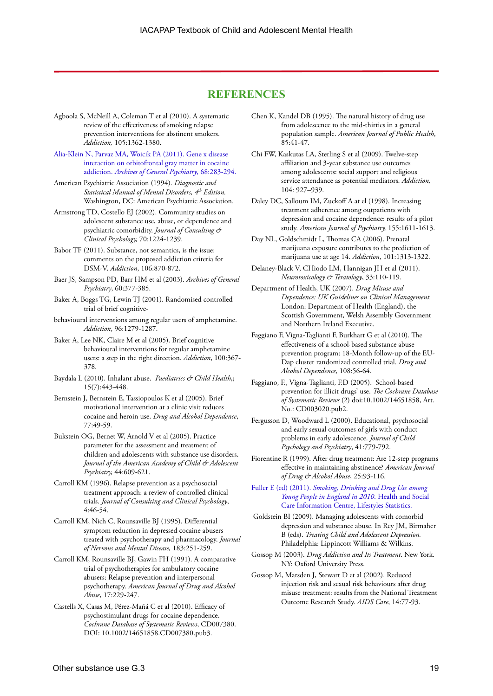#### **REFERENCES**

- Agboola S, McNeill A, Coleman T et al (2010). A systematic review of the effectiveness of smoking relapse prevention interventions for abstinent smokers. *Addiction,* 105:1362-1380.
- [Alia-Klein N, Parvaz MA, Woicik PA \(2011\). Gene x disease](http://archpsyc.jamanetwork.com/article.aspx?volume=68&issue=3&page=283)  [interaction on orbitofrontal gray matter in cocaine](http://archpsyc.jamanetwork.com/article.aspx?volume=68&issue=3&page=283)  addiction. *[Archives of General Psychiatry](http://archpsyc.jamanetwork.com/article.aspx?volume=68&issue=3&page=283)*, 68:283-294.
- American Psychiatric Association (1994). *Diagnostic and Statistical Manual of Mental Disorders, 4th Edition.* Washington, DC: American Psychiatric Association.
- Armstrong TD, Costello EJ (2002). Community studies on adolescent substance use, abuse, or dependence and psychiatric comorbidity. *Journal of Consulting & Clinical Psychology,* 70:1224-1239.
- Babor TF (2011). Substance, not semantics, is the issue: comments on the proposed addiction criteria for DSM-V. *Addiction*, 106:870-872.
- Baer JS, Sampson PD, Barr HM et al (2003). *Archives of General Psychiatry*, 60:377-385.
- Baker A, Boggs TG, Lewin TJ (2001). Randomised controlled trial of brief cognitive-
- behavioural interventions among regular users of amphetamine. *Addiction*, 96:1279-1287.
- Baker A, Lee NK, Claire M et al (2005). Brief cognitive behavioural interventions for regular amphetamine users: a step in the right direction. *Addiction*, 100:367- 378.
- Baydala L (2010). Inhalant abuse. *Paediatrics & Child Health*,; 15(7):443-448.
- Bernstein J, Bernstein E, Tassiopoulos K et al (2005). Brief motivational intervention at a clinic visit reduces cocaine and heroin use. *Drug and Alcohol Dependence*, 77:49-59.
- Bukstein OG, Bernet W, Arnold V et al (2005). Practice parameter for the assessment and treatment of children and adolescents with substance use disorders. *Journal of the American Academy of Child & Adolescent Psychiatry,* 44:609-621.
- Carroll KM (1996). Relapse prevention as a psychosocial treatment approach: a review of controlled clinical trials. *Journal of Consulting and Clinical Psychology*, 4:46-54.
- Carroll KM, Nich C, Rounsaville BJ (1995). Differential symptom reduction in depressed cocaine abusers treated with psychotherapy and pharmacology. *Journal of Nervous and Mental Disease,* 183:251-259.
- Carroll KM, Rounsaville BJ, Gawin FH (1991). A comparative trial of psychotherapies for ambulatory cocaine abusers: Relapse prevention and interpersonal psychotherapy. *American Journal of Drug and Alcohol Abuse*, 17:229-247.
- Castells X, Casas M, Pérez-Mañá C et al (2010). Efficacy of psychostimulant drugs for cocaine dependence. *Cochrane Database of Systematic Reviews*, CD007380. DOI: 10.1002/14651858.CD007380.pub3.
- Chen K, Kandel DB (1995). The natural history of drug use from adolescence to the mid-thirties in a general population sample. *American Journal of Public Health*, 85:41-47.
- Chi FW, Kaskutas LA, Sterling S et al (2009). Twelve-step affiliation and 3-year substance use outcomes among adolescents: social support and religious service attendance as potential mediators. *Addiction,* 104: 927–939.
- Daley DC, Salloum IM, Zuckoff A at el (1998). Increasing treatment adherence among outpatients with depression and cocaine dependence: results of a pilot study. *American Journal of Psychiatry,* 155:1611-1613.
- Day NL, Goldschmidt L, Thomas CA (2006). Prenatal marijuana exposure contributes to the prediction of marijuana use at age 14. *Addiction*, 101:1313-1322.
- Delaney-Black V, CHiodo LM, Hannigan JH et al (2011). *Neurotoxicology & Teratology*, 33:110-119.
- Department of Health, UK (2007). *Drug Misuse and Dependence: UK Guidelines on Clinical Management.* London: Department of Health (England), the Scottish Government, Welsh Assembly Government and Northern Ireland Executive.
- Faggiano F, Vigna-Taglianti F, Burkhart G et al (2010). The effectiveness of a school-based substance abuse prevention program: 18-Month follow-up of the EU-Dap cluster randomized controlled trial. *Drug and Alcohol Dependence,* 108:56-64.
- Faggiano, F., Vigna-Taglianti, F.D (2005). School-based prevention for illicit drugs' use. *The Cochrane Database of Systematic Reviews* (2) doi:10.1002/14651858, Art. No.: CD003020.pub2.
- Fergusson D, Woodward L (2000). Educational, psychosocial and early sexual outcomes of girls with conduct problems in early adolescence. *Journal of Child Psychology and Psychiatry*, 41:779-792.
- Fiorentine R (1999). After drug treatment: Are 12-step programs effective in maintaining abstinence? *American Journal of Drug & Alcohol Abuse*, 25:93-116.

Fuller E (ed) (2011). *[Smoking, Drinking and Drug Use among](http://www.ic.nhs.uk/pubs/sdd10fullreport
)  [Young People in England in 2010](http://www.ic.nhs.uk/pubs/sdd10fullreport
)*. Health and Social [Care Information Centre, Lifestyles Statistics.](http://www.ic.nhs.uk/pubs/sdd10fullreport
)

- Goldstein BI (2009). Managing adolescents with comorbid depression and substance abuse. In Rey JM, Birmaher B (eds). *Treating Child and Adolescent Depression.* Philadelphia: Lippincott Williams & Wilkins.
- Gossop M (2003). *Drug Addiction and Its Treatment*. New York. NY: Oxford University Press.
- Gossop M, Marsden J, Stewart D et al (2002). Reduced injection risk and sexual risk behaviours after drug misuse treatment: results from the National Treatment Outcome Research Study. *AIDS Care*, 14:77-93.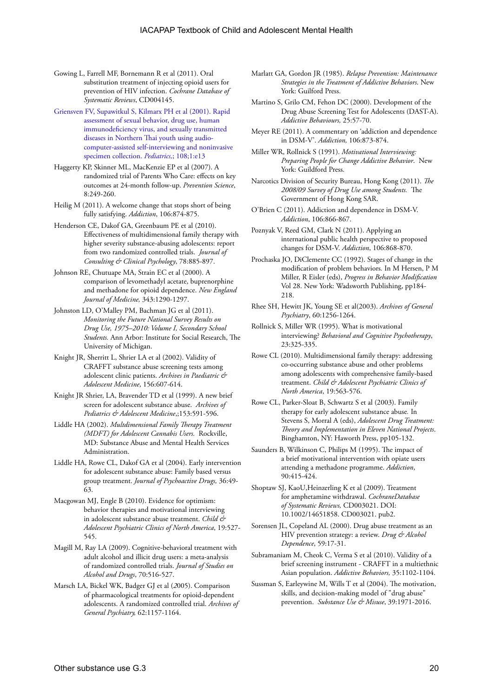- Gowing L, Farrell MF, Bornemann R et al (2011). Oral substitution treatment of injecting opioid users for prevention of HIV infection. *Cochrane Database of Systematic Reviews*, CD004145.
- [Griensven FV, Supawitkul S, Kilmarx PH et al \(2001\). Rapid](http://pediatrics.aappublications.org/content/108/1/e13.full.html)  [assessment of sexual behavior, drug use, human](http://pediatrics.aappublications.org/content/108/1/e13.full.html)  [immunodeficiency virus, and sexually transmitted](http://pediatrics.aappublications.org/content/108/1/e13.full.html)  [diseases in Northern Thai youth using audio](http://pediatrics.aappublications.org/content/108/1/e13.full.html)[computer-assisted self-interviewing and noninvasive](http://pediatrics.aappublications.org/content/108/1/e13.full.html)  [specimen collection.](http://pediatrics.aappublications.org/content/108/1/e13.full.html) *Pediatrics,*; 108;1:e13
- Haggerty KP, Skinner ML, MacKenzie EP et al (2007). A randomized trial of Parents Who Care: effects on key outcomes at 24-month follow-up. *Prevention Science*, 8:249-260.
- Heilig M (2011). A welcome change that stops short of being fully satisfying. *Addiction*, 106:874-875.
- Henderson CE, Dakof GA, Greenbaum PE et al (2010). Effectiveness of multidimensional family therapy with higher severity substance-abusing adolescents: report from two randomized controlled trials. *Journal of Consulting & Clinical Psychology*, 78:885-897.
- Johnson RE, Chutuape MA, Strain EC et al (2000). A comparison of levomethadyl acetate, buprenorphine and methadone for opioid dependence. *New England Journal of Medicine,* 343:1290-1297.
- Johnston LD, O'Malley PM, Bachman JG et al (2011). *Monitoring the Future National Survey Results on Drug Use, 1975–2010: Volume I, Secondary School Students.* Ann Arbor: Institute for Social Research, The University of Michigan.
- Knight JR, Sherritt L, Shrier LA et al (2002). Validity of CRAFFT substance abuse screening tests among adolescent clinic patients. *Archives in Paediatric & Adolescent Medicine*, 156:607-614.
- Knight JR Shrier, LA, Bravender TD et al (1999). A new brief screen for adolescent substance abuse. *Archives of Pediatrics & Adolescent Medicine*,;153:591-596.
- Liddle HA (2002). *Multdimensional Family Therapy Treatment (MDFT) for Adolescent Cannabis Users.* Rockville, MD: Substance Abuse and Mental Health Services Administration.
- Liddle HA, Rowe CL, Dakof GA et al (2004). Early intervention for adolescent substance abuse: Family based versus group treatment. *Journal of Psychoactive Drugs,* 36:49- 63.
- Macgowan MJ, Engle B (2010). Evidence for optimism: behavior therapies and motivational interviewing in adolescent substance abuse treatment. *Child & Adolescent Psychiatric Clinics of North America*, 19:527- 545.
- Magill M, Ray LA (2009). Cognitive-behavioral treatment with adult alcohol and illicit drug users: a meta-analysis of randomized controlled trials. *Journal of Studies on Alcohol and Drugs*, 70:516-527.
- Marsch LA, Bickel WK, Badger GJ et al (*2*005). Comparison of pharmacological treatments for opioid-dependent adolescents. A randomized controlled trial. *Archives of General Psychiatry,* 62:1157-1164.
- Marlatt GA, Gordon JR (1985). *Relapse Prevention: Maintenance Strategies in the Treatment of Addictive Behaviors*. New York: Guilford Press.
- Martino S, Grilo CM, Fehon DC (2000). Development of the Drug Abuse Screening Test for Adolescents (DAST-A). *Addictive Behaviours,* 25:57-70.
- Meyer RE (2011). A commentary on 'addiction and dependence in DSM-V'. *Addiction,* 106:873-874.
- Miller WR, Rollnick S (1991). *Motivational Interviewing: Preparing People for Change Addictive Behavior*. New York: Guildford Press.
- Narcotics Division of Security Bureau, Hong Kong (2011). *The 2008/09 Survey of Drug Use among Students.* The Government of Hong Kong SAR.
- O'Brien C (2011). Addiction and dependence in DSM-V. *Addiction*, 106:866-867.
- Poznyak V, Reed GM, Clark N (2011). Applying an international public health perspective to proposed changes for DSM-V. *Addiction*, 106:868-870.
- Prochaska JO, DiClemente CC (1992). Stages of change in the modification of problem behaviors*.* In M Hersen, P M Miller, R Eisler (eds), *Progress in Behavior Modification* Vol 28. New York: Wadsworth Publishing, pp184- 218.
- Rhee SH, Hewitt JK, Young SE et al(2003). *Archives of General Psychiatry*, 60:1256-1264.
- Rollnick S, Miller WR (1995). What is motivational interviewing? *Behavioral and Cognitive Psychotherapy*, 23:325-335.
- Rowe CL (2010). Multidimensional family therapy: addressing co-occurring substance abuse and other problems among adolescents with comprehensive family-based treatment. *Child & Adolescent Psychiatric Clinics of North America*, 19:563-576.
- Rowe CL, Parker-Sloat B, Schwartz S et al (2003). Family therapy for early adolescent substance abuse*.* In Stevens S, Morral A (eds), *Adolescent Drug Treatment: Theory and Implementation in Eleven National Projects*. Binghamton, NY: Haworth Press, pp105-132.
- Saunders B, Wilkinson C, Philips M (1995). The impact of a brief motivational intervention with opiate users attending a methadone programme. *Addiction*, 90:415-424.
- Shoptaw SJ, KaoU,Heinzerling K et al (2009). Treatment for amphetamine withdrawal. *CochraneDatabase of Systematic Reviews,* CD003021. DOI: 10.1002/14651858. CD003021. pub2.
- Sorensen JL, Copeland AL (2000). Drug abuse treatment as an HIV prevention strategy: a review. *Drug & Alcohol Dependence*, 59:17-31.
- Subramaniam M, Cheok C, Verma S et al (2010). Validity of a brief screening instrument - CRAFFT in a multiethnic Asian population. *Addictive Behaviors,* 35:1102-1104.
- Sussman S, Earleywine M, Wills T et al (2004). The motivation, skills, and decision-making model of "drug abuse" prevention. *Substance Use & Misuse*, 39:1971-2016.